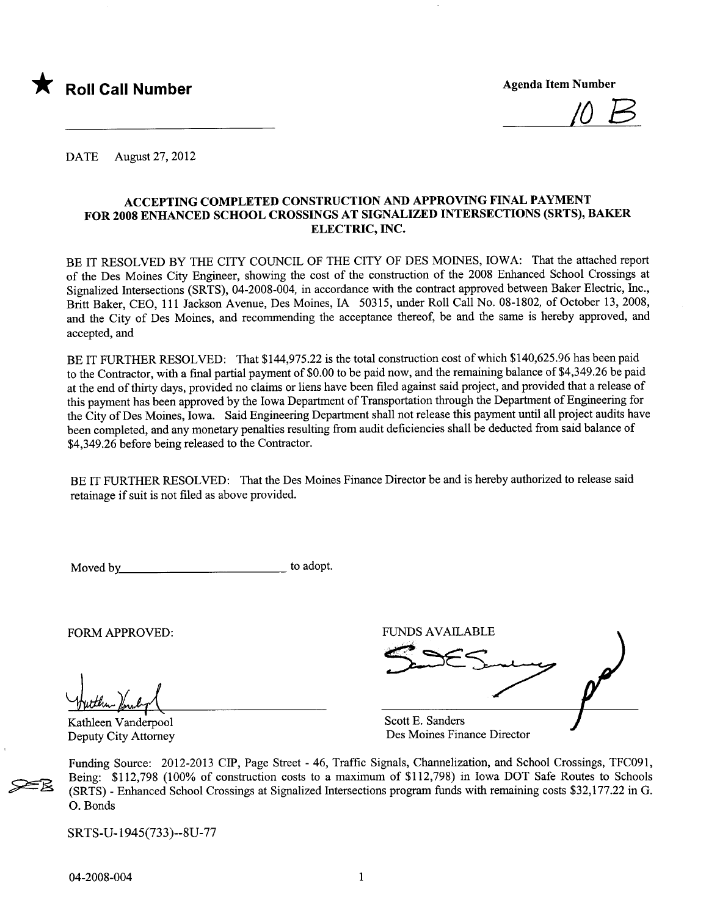

 $10B$ 

DATE August 27, 2012

#### ACCEPTING COMPLETED CONSTRUCTION AND APPROVING FINAL PAYMENT FOR 2008 ENHACED SCHOOL CROSSINGS AT SIGNALIZED INTERSECTIONS (SRTS), BAKER ELECTRIC, INC.

BE IT RESOLVED BY THE CITY COUNCIL OF THE CITY OF DES MOINES, IOWA: That the attached report of the Des Moines City Engineer, showing the cost of the construction of the 2008 Enhanced School Crossings at Signalized Intersections (SRTS), 04-2008-004, in accordance with the contract approved between Baker Electric, Inc., Britt Baker, CEO, 111 Jackson Avenue, Des Moines, IA 50315, under Roll Call No. 08-1802, of October 13,2008, and the City of Des Moines, and recommending the acceptance thereof, be and the same is hereby approved, and accepted, and

BE IT FURTHER RESOLVED: That \$144,975.22 is the total construction cost of which \$140,625.96 has been paid to the Contractor, with a final parial payment of \$0.00 to be paid now, and the remaining balance of \$4,349.26 be paid at the end of thirty days, provided no claims or liens have been filed against said project, and provided that a release of this payment has been approved by the Iowa Department of Transportation through the Department of Engineering for the City of Des Moines, Iowa. Said Engineering Deparent shall not release this payment until all project audits have been completed, and any monetary penalties resulting from audit deficiencies shall be deducted from said balance of \$4,349.26 before being released to the Contractor.

BE IT FURTHER RESOLVED: That the Des Moines Finance Director be and is hereby authorized to release said retainage if suit is not filed as above provided.

Moved by to adopt.

Kathleen Vanderpool Deputy City Attorney

FORM APPROVED: FUNDS AVAILABLE Wutthen Vanderpool Scott E. Sanders

Des Moines Finance Director

Funding Source: 2012-2013 CIP, Page Street - 46, Traffc Signals, Chanelization, and School Crossings, TFC091, Being: \$112,798 (100% of construction costs to a maximum of \$112,798) in Iowa DOT Safe Routes to Schools (SRTS) - Enhanced School Crossings at Signalized Intersections program funds with remaining costs \$32,177.22 in G. O. Bonds

SRTS-U-1945(733)--8U-77

~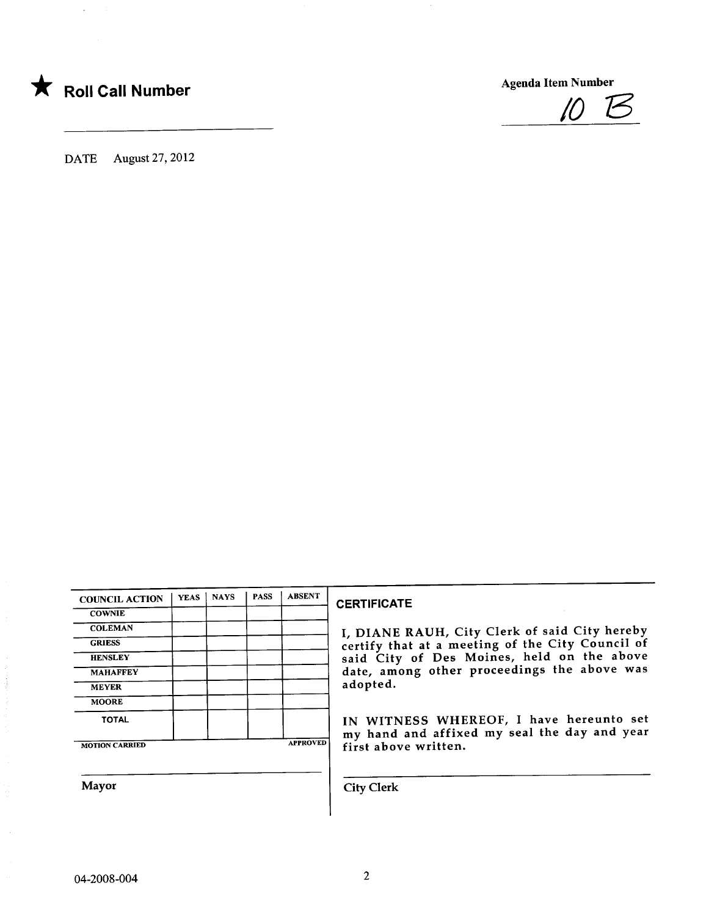

Agenda Item Number



DATE August 27, 2012

| <b>COUNCIL ACTION</b> | <b>YEAS</b> | <b>NAYS</b> | <b>PASS</b> | <b>ABSENT</b>   |
|-----------------------|-------------|-------------|-------------|-----------------|
| <b>COWNIE</b>         |             |             |             |                 |
| <b>COLEMAN</b>        |             |             |             |                 |
| <b>GRIESS</b>         |             |             |             |                 |
| <b>HENSLEY</b>        |             |             |             |                 |
| <b>MAHAFFEY</b>       |             |             |             |                 |
| <b>MEYER</b>          |             |             |             |                 |
| <b>MOORE</b>          |             |             |             |                 |
| <b>TOTAL</b>          |             |             |             |                 |
| <b>MOTION CARRIED</b> |             |             |             | <b>APPROVED</b> |

#### **CERTIFICATE**

I, DIANE RAUH, City Clerk of said City hereby certify that at a meeting of the City Council of said City of Des Moines, held on the above date, among other proceedings the above was adopted.

IN WITNESS WHEREOF, I have hereunto set my hand and affixed my seal the day and year first above written.

Mayor City Clerk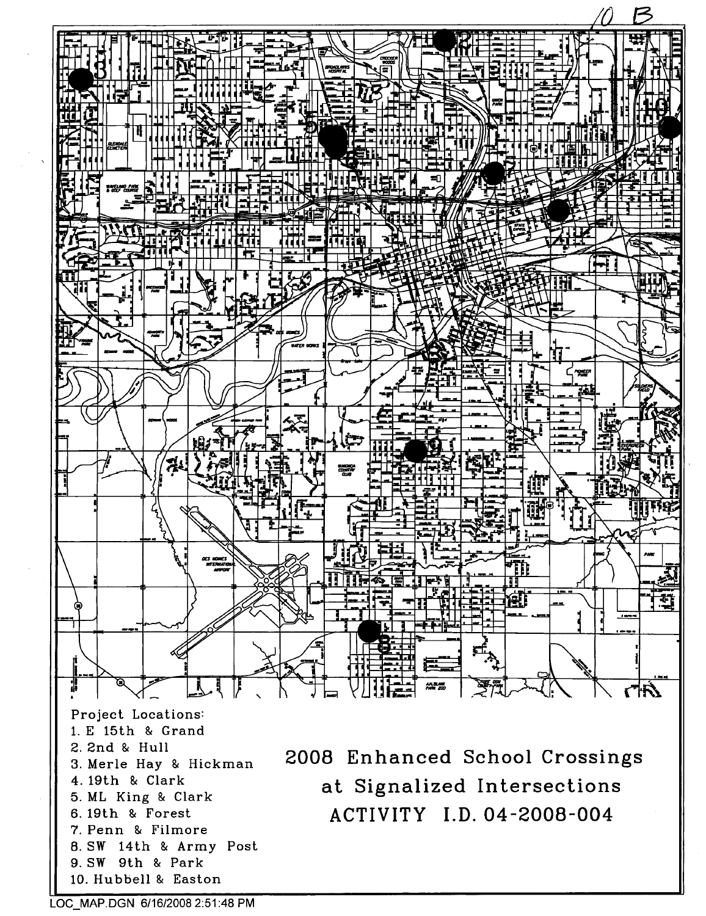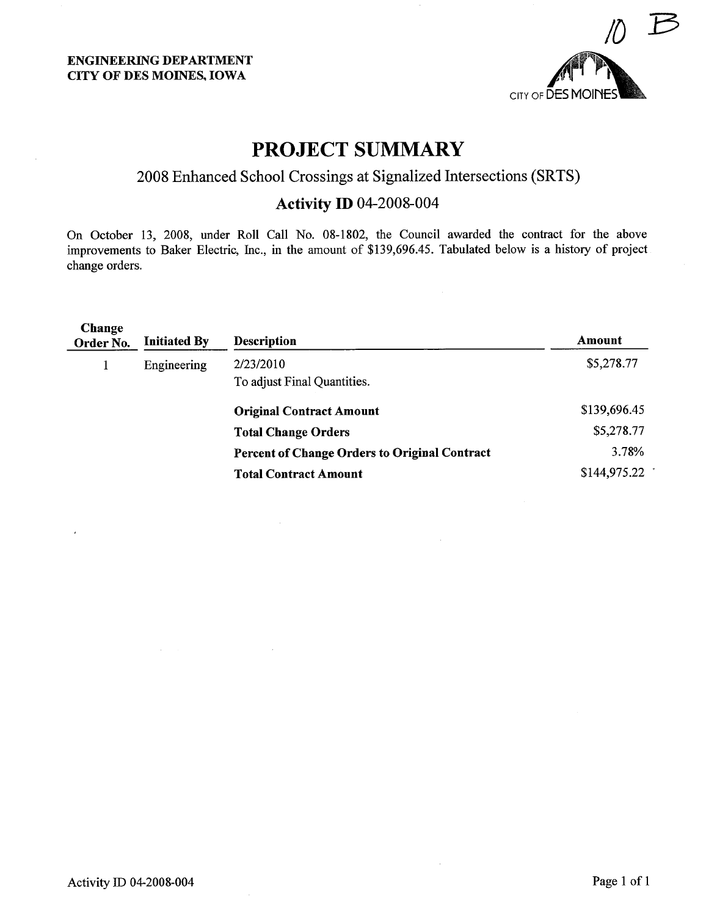

## PROJECT SUMMARY

### 2008 Enhanced School Crossings at Signalized Intersections (SRTS)

### Activity ID 04-2008-004

On October 13, 2008, under Roll Call No. 08-1802, the Council awarded the contract for the above improvements to Baker Electric, Inc., in the amount of \$139,696.45. Tabulated below is a history of project change orders.

| Change<br>Order No. | <b>Initiated By</b> | <b>Description</b>                                   | Amount       |
|---------------------|---------------------|------------------------------------------------------|--------------|
|                     | Engineering         | 2/23/2010                                            | \$5,278.77   |
|                     |                     | To adjust Final Quantities.                          |              |
|                     |                     | <b>Original Contract Amount</b>                      | \$139,696.45 |
|                     |                     | <b>Total Change Orders</b>                           | \$5,278.77   |
|                     |                     | <b>Percent of Change Orders to Original Contract</b> | 3.78%        |
|                     |                     | <b>Total Contract Amount</b>                         | \$144,975.22 |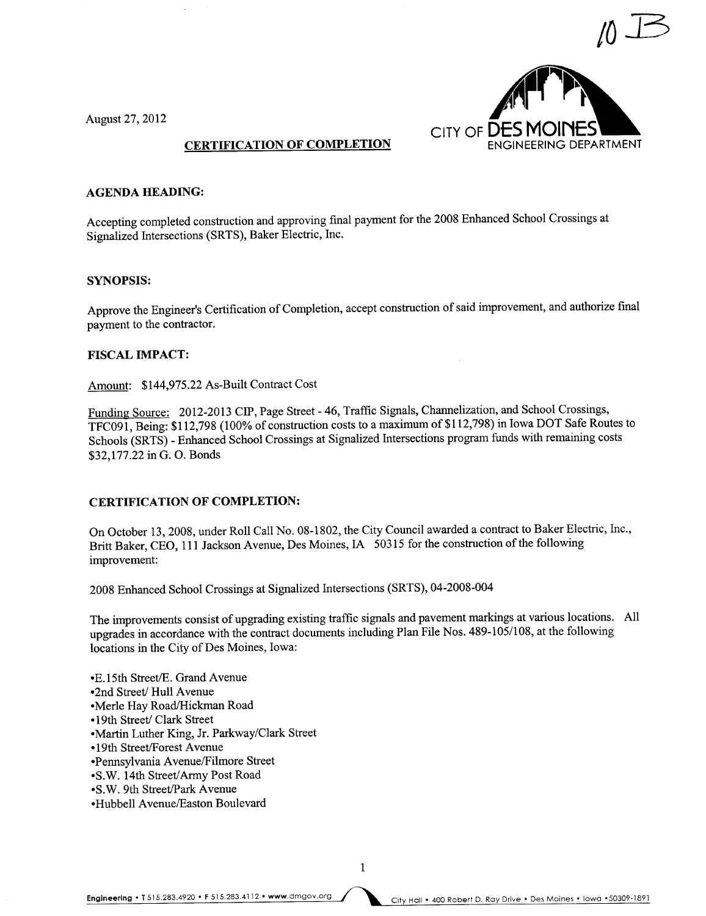

August 27,2012

#### CERTIFICATION OF COMPLETION

#### AGENDA HEADING:

Accepting completed construction and approving final payment for the 2008 Enhanced School Crossings at Signalized Intersections (SRTS), Baker Electric, Inc.

#### SYNOPSIS:

Approve the Engineer's Certification of Completion, accept construction of said improvement, and authorize final payment to the contractor.

#### FISCAL IMPACT:

Amount: \$144,975.22 As-Built Contract Cost

Funding Source: 2012-2013 CIP, Page Street - 46, Traffic Signals, Chanelization, and School Crossings, TFC091, Being: \$112,798 (100% of construction costs to a maximum of \$112,798) in Iowa DOT Safe Routes to Schools (SRTS) - Enhanced School Crossings at Signalized Intersections program fuds with remaining costs \$32,177.22 in G. O. Bonds

#### CERTIFICATION OF COMPLETION:

On October 13, 2008, under Roll Call No. 08-1802, the City Council awarded a contract to Baker Electric, Inc., Britt Baker, CEO, 111 Jackson Avenue, Des Moines, IA 50315 for the construction of the following improvement:

2008 Enhanced School Crossings at Signalized Intersections (SRTS), 04-2008-004

The improvements consist of upgrading existing traffic signals and pavement markings at various locations. All upgrades in accordance with the contract documents including Plan File Nos. 489-105/108, at the following locations in the City of Des Moines, Iowa:

1

- E.15th Street/E. Grand Avenue
- •2nd Street/ Hull Avenue
- •Merle Hav Road/Hickman Road
- •19th Street/ Clark Street
- .Marin Luther King, Jr. Parkway/Clark Street
- •19th Street/Forest Avenue
- .Pennsylvania AvenuelFilmore Street
- •S.W. 14th Street/Army Post Road
- .S.W. 9th Street/ark Avenue
- .Hubbell AvenueÆaston Boulevard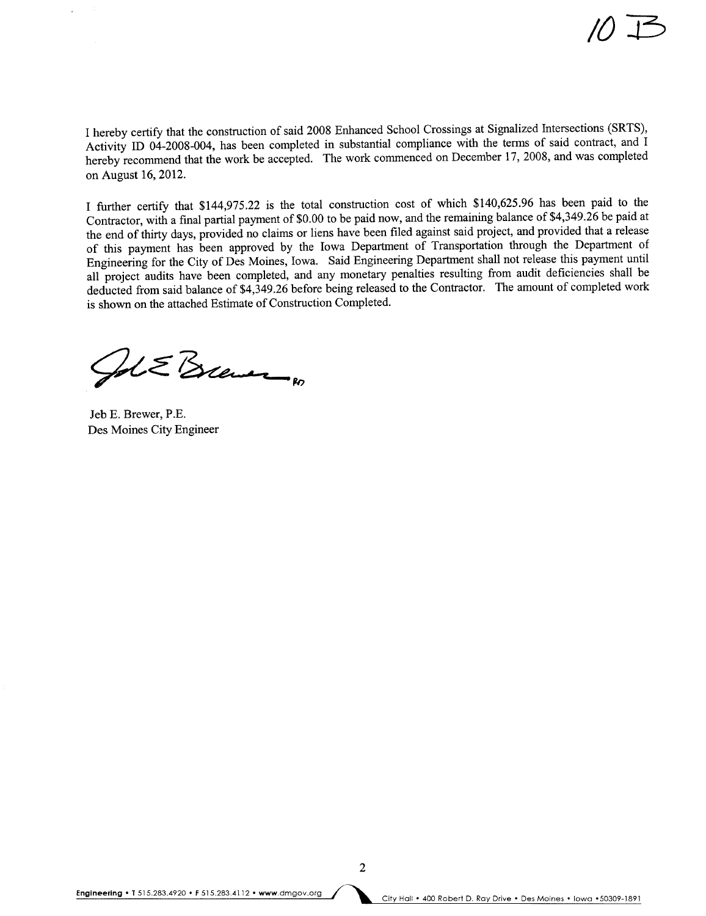I hereby certify that the construction of said 2008 Enhanced School Crossings at Signalized Intersections (SRTS), Activity ID 04-2008-004, has been completed in substantial compliance with the terms of said contract, and I hereby recommend that the work be accepted. The work commenced on December 17, 2008, and was completed on August 16,2012.

I further certify that \$144,975.22 is the total construction cost of which \$140,625.96 has been paid to the Contractor, with a final partial payment of \$0.00 to be paid now, and the remaining balance of \$4,349.26 be paid at the end of thirty days, provided no claims or liens have been filed against said project, and provided that a release of this payment has been approved by the Iowa Department of Transportation through the Department of Engineering for the City of Des Moines, Iowa. Said Engineering Department shall not release this payment until all project audits have been completed, and any monetary penalties resulting from audit deficiencies shall be deducted from said balance of \$4,349.26 before being released to the Contractor. The amount of completed work is shown on the attached Estimate of Construction Completed.

 $215$  Brewer

Jeb E. Brewer, P.E. Des Moines City Engineer